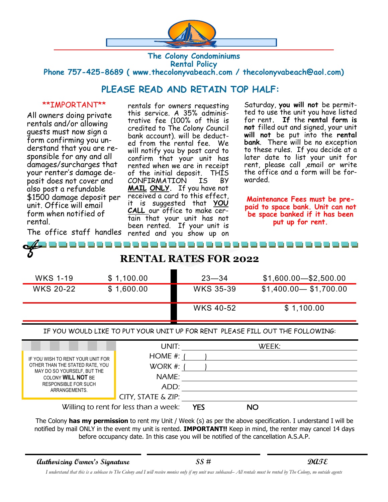

### **The Colony Condominiums Rental Policy Phone 757-425-8689 ( www.thecolonyvabeach.com / thecolonyvabeach@aol.com)**

## **PLEASE READ AND RETAIN TOP HALF:**

#### \*\*IMPORTANT\*\*

All owners doing private rentals and/or allowing guests must now sign a form confirming you understand that you are responsible for any and all damages/surcharges that your renter's damage deposit does not cover and also post a refundable \$1500 damage deposit per unit. Office will email form when notified of rental.

The office staff handles rented and you show up on rentals for owners requesting this service. A 35% administrative fee (100% of this is credited to The Colony Council bank account). will be deducted from the rental fee. We will notify you by post card to confirm that your unit has rented when we are in receipt of the initial deposit. THIS CONFIRMATION IS BY **MAIL ONLY.** If you have not received a card to this effect, it is suggested that **YOU CALL** our office to make certain that your unit has not been rented. If your unit is

Saturday, **you will not** be permitted to use the unit you have listed for rent**. If** the **rental form is not** filled out and signed, your unit **will not** be put into the **rental bank**. There will be no exception to these rules. If you decide at a later date to list your unit for rent, please call ,email or write the office and a form will be forwarded.

**Maintenance Fees must be prepaid to space bank. Unit can not be space banked if it has been put up for rent.**

| <b>RENTAL RATES FOR 2022</b> |
|------------------------------|

| WKS 1-19         | \$1,100.00 | $23 - 34$        | $$1,600.00 - $2,500.00$ |
|------------------|------------|------------------|-------------------------|
| <b>WKS 20-22</b> | \$1,600.00 | <b>WKS 35-39</b> | $$1,400.00 - $1,700.00$ |
|                  |            | <b>WKS 40-52</b> | \$1,100.00              |

IF YOU WOULD LIKE TO PUT YOUR UNIT UP FOR RENT PLEASE FILL OUT THE FOLLOWING:

|                                                                | UNIT:                                 |     | WEEK: |
|----------------------------------------------------------------|---------------------------------------|-----|-------|
| IF YOU WISH TO RENT YOUR UNIT FOR                              | HOME $#$ :                            |     |       |
| OTHER THAN THE STATED RATE, YOU<br>MAY DO SO YOURSELF, BUT THE | WORK #:                               |     |       |
| COLONY <b>WILL NOT</b> BE                                      | NAME:                                 |     |       |
| <b>RESPONSIBLE FOR SUCH</b><br>ARRANGEMENTS.                   | ADD:                                  |     |       |
|                                                                | CITY, STATE & ZIP:                    |     |       |
|                                                                | Willing to rent for less than a week: | YES | NO    |

The Colony **has my permission** to rent my Unit / Week (s) as per the above specification. I understand I will be notified by mail ONLY in the event my unit is rented. **IMPORTANT!!** Keep in mind, the renter may cancel 14 days before occupancy date. In this case you will be notified of the cancellation A.S.A.P.

**Authorizing Owner's Signature SS # DATE**

*I understand that this is a sublease to The Colony and I will receive monies only if my unit was subleased– All rentals must be rented by The Colony, no outside agents*